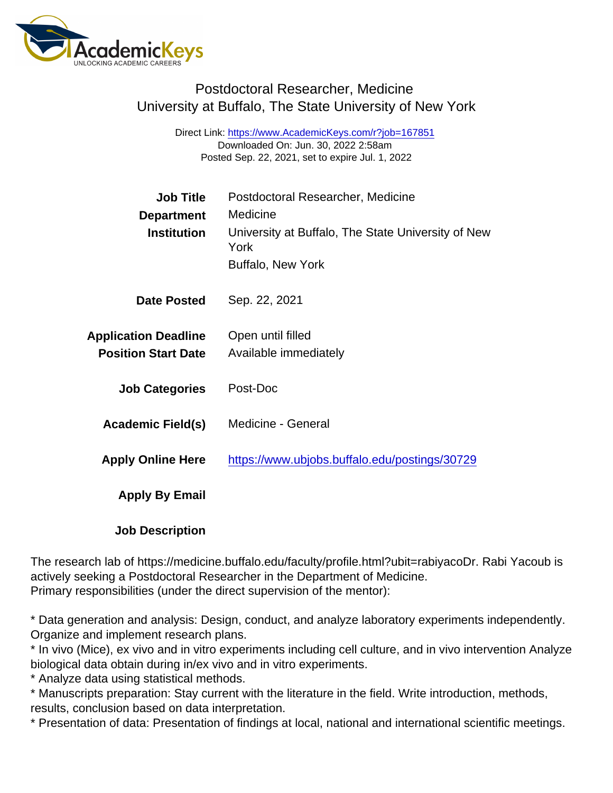## Postdoctoral Researcher, Medicine University at Buffalo, The State University of New York

Direct Link: <https://www.AcademicKeys.com/r?job=167851> Downloaded On: Jun. 30, 2022 2:58am Posted Sep. 22, 2021, set to expire Jul. 1, 2022

| <b>Job Title</b>            | Postdoctoral Researcher, Medicine                          |
|-----------------------------|------------------------------------------------------------|
| Department                  | Medicine                                                   |
| Institution                 | University at Buffalo, The State University of New<br>York |
|                             | <b>Buffalo, New York</b>                                   |
| Date Posted                 | Sep. 22, 2021                                              |
| <b>Application Deadline</b> | Open until filled                                          |
| <b>Position Start Date</b>  | Available immediately                                      |
| <b>Job Categories</b>       | Post-Doc                                                   |
| Academic Field(s)           | <b>Medicine - General</b>                                  |
| <b>Apply Online Here</b>    | https://www.ubjobs.buffalo.edu/postings/30729              |
| Apply By Email              |                                                            |
|                             |                                                            |

Job Description

The research lab of https://medicine.buffalo.edu/faculty/profile.html?ubit=rabiyacoDr. Rabi Yacoub is actively seeking a Postdoctoral Researcher in the Department of Medicine. Primary responsibilities (under the direct supervision of the mentor):

\* Data generation and analysis: Design, conduct, and analyze laboratory experiments independently. Organize and implement research plans.

\* In vivo (Mice), ex vivo and in vitro experiments including cell culture, and in vivo intervention Analyze biological data obtain during in/ex vivo and in vitro experiments.

\* Analyze data using statistical methods.

\* Manuscripts preparation: Stay current with the literature in the field. Write introduction, methods, results, conclusion based on data interpretation.

\* Presentation of data: Presentation of findings at local, national and international scientific meetings.